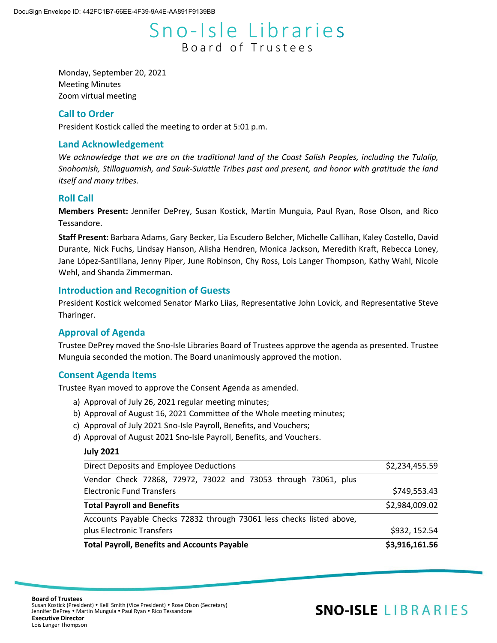# Sno-Isle Libraries Board of Trustees

Monday, September 20, 2021 Meeting Minutes Zoom virtual meeting

# **Call to Order**

President Kostick called the meeting to order at 5:01 p.m.

# **Land Acknowledgement**

*We acknowledge that we are on the traditional land of the Coast Salish Peoples, including the Tulalip, Snohomish, Stillaguamish, and Sauk-Suiattle Tribes past and present, and honor with gratitude the land itself and many tribes.*

# **Roll Call**

**Members Present:** Jennifer DePrey, Susan Kostick, Martin Munguia, Paul Ryan, Rose Olson, and Rico Tessandore.

**Staff Present:** Barbara Adams, Gary Becker, Lia Escudero Belcher, Michelle Callihan, Kaley Costello, David Durante, Nick Fuchs, Lindsay Hanson, Alisha Hendren, Monica Jackson, Meredith Kraft, Rebecca Loney, Jane López-Santillana, Jenny Piper, June Robinson, Chy Ross, Lois Langer Thompson, Kathy Wahl, Nicole Wehl, and Shanda Zimmerman.

# **Introduction and Recognition of Guests**

President Kostick welcomed Senator Marko Liias, Representative John Lovick, and Representative Steve Tharinger.

# **Approval of Agenda**

Trustee DePrey moved the Sno-Isle Libraries Board of Trustees approve the agenda as presented. Trustee Munguia seconded the motion. The Board unanimously approved the motion.

# **Consent Agenda Items**

Trustee Ryan moved to approve the Consent Agenda as amended.

- a) Approval of July 26, 2021 regular meeting minutes;
- b) Approval of August 16, 2021 Committee of the Whole meeting minutes;
- c) Approval of July 2021 Sno-Isle Payroll, Benefits, and Vouchers;
- d) Approval of August 2021 Sno-Isle Payroll, Benefits, and Vouchers.

#### **July 2021**

| <b>Total Payroll, Benefits and Accounts Payable</b>                   | \$3,916,161.56 |
|-----------------------------------------------------------------------|----------------|
| plus Electronic Transfers                                             | \$932, 152.54  |
| Accounts Payable Checks 72832 through 73061 less checks listed above, |                |
| \$2,984,009.02<br><b>Total Payroll and Benefits</b>                   |                |
| <b>Electronic Fund Transfers</b>                                      | \$749,553.43   |
| Vendor Check 72868, 72972, 73022 and 73053 through 73061, plus        |                |
| Direct Deposits and Employee Deductions                               | \$2,234,455.59 |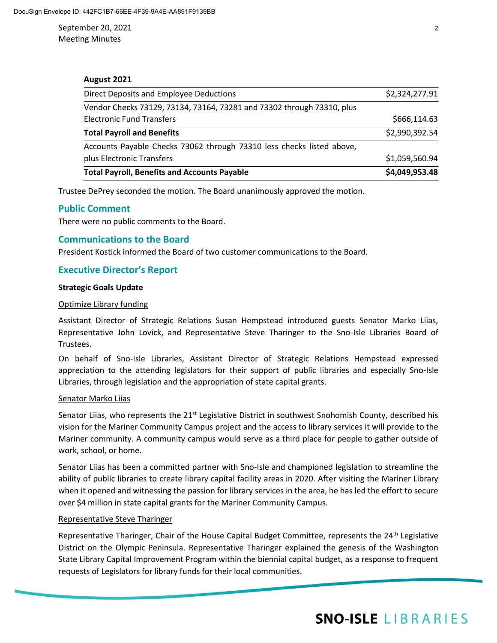September 20, 2021 2 Meeting Minutes

#### **August 2021**

| \$1,059,560.94 |
|----------------|
|                |
|                |
| \$2,990,392.54 |
| \$666,114.63   |
|                |
| \$2,324,277.91 |
|                |

Trustee DePrey seconded the motion. The Board unanimously approved the motion.

# **Public Comment**

There were no public comments to the Board.

# **Communications to the Board**

President Kostick informed the Board of two customer communications to the Board.

# **Executive Director's Report**

#### **Strategic Goals Update**

#### Optimize Library funding

Assistant Director of Strategic Relations Susan Hempstead introduced guests Senator Marko Liias, Representative John Lovick, and Representative Steve Tharinger to the Sno-Isle Libraries Board of Trustees.

On behalf of Sno-Isle Libraries, Assistant Director of Strategic Relations Hempstead expressed appreciation to the attending legislators for their support of public libraries and especially Sno-Isle Libraries, through legislation and the appropriation of state capital grants.

#### Senator Marko Liias

Senator Liias, who represents the 21<sup>st</sup> Legislative District in southwest Snohomish County, described his vision for the Mariner Community Campus project and the access to library services it will provide to the Mariner community. A community campus would serve as a third place for people to gather outside of work, school, or home.

Senator Liias has been a committed partner with Sno-Isle and championed legislation to streamline the ability of public libraries to create library capital facility areas in 2020. After visiting the Mariner Library when it opened and witnessing the passion for library services in the area, he has led the effort to secure over \$4 million in state capital grants for the Mariner Community Campus.

#### Representative Steve Tharinger

Representative Tharinger, Chair of the House Capital Budget Committee, represents the 24<sup>th</sup> Legislative District on the Olympic Peninsula. Representative Tharinger explained the genesis of the Washington State Library Capital Improvement Program within the biennial capital budget, as a response to frequent requests of Legislators for library funds for their local communities.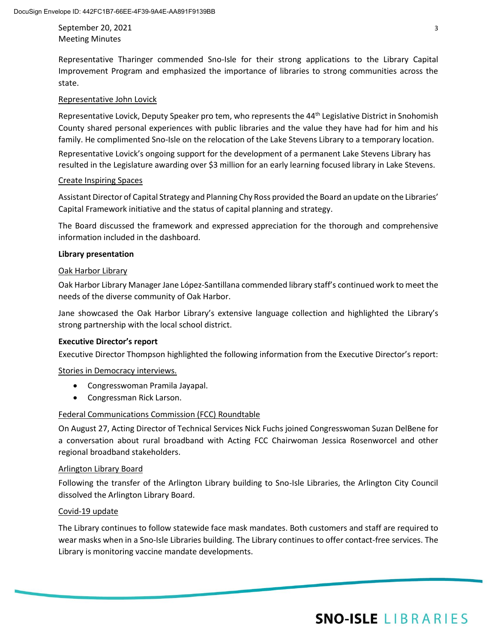September 20, 2021 3 Meeting Minutes

Representative Tharinger commended Sno-Isle for their strong applications to the Library Capital Improvement Program and emphasized the importance of libraries to strong communities across the state.

### Representative John Lovick

Representative Lovick, Deputy Speaker pro tem, who represents the 44<sup>th</sup> Legislative District in Snohomish County shared personal experiences with public libraries and the value they have had for him and his family. He complimented Sno-Isle on the relocation of the Lake Stevens Library to a temporary location.

Representative Lovick's ongoing support for the development of a permanent Lake Stevens Library has resulted in the Legislature awarding over \$3 million for an early learning focused library in Lake Stevens.

### Create Inspiring Spaces

Assistant Director of Capital Strategy and Planning Chy Ross provided the Board an update on the Libraries' Capital Framework initiative and the status of capital planning and strategy.

The Board discussed the framework and expressed appreciation for the thorough and comprehensive information included in the dashboard.

### **Library presentation**

# Oak Harbor Library

Oak Harbor Library Manager Jane López-Santillana commended library staff's continued work to meet the needs of the diverse community of Oak Harbor.

Jane showcased the Oak Harbor Library's extensive language collection and highlighted the Library's strong partnership with the local school district.

#### **Executive Director's report**

Executive Director Thompson highlighted the following information from the Executive Director's report:

Stories in Democracy interviews.

- Congresswoman Pramila Jayapal.
- Congressman Rick Larson.

# Federal Communications Commission (FCC) Roundtable

On August 27, Acting Director of Technical Services Nick Fuchs joined Congresswoman Suzan DelBene for a conversation about rural broadband with Acting FCC Chairwoman Jessica Rosenworcel and other regional broadband stakeholders.

#### Arlington Library Board

Following the transfer of the Arlington Library building to Sno-Isle Libraries, the Arlington City Council dissolved the Arlington Library Board.

#### Covid-19 update

The Library continues to follow statewide face mask mandates. Both customers and staff are required to wear masks when in a Sno-Isle Libraries building. The Library continues to offer contact-free services. The Library is monitoring vaccine mandate developments.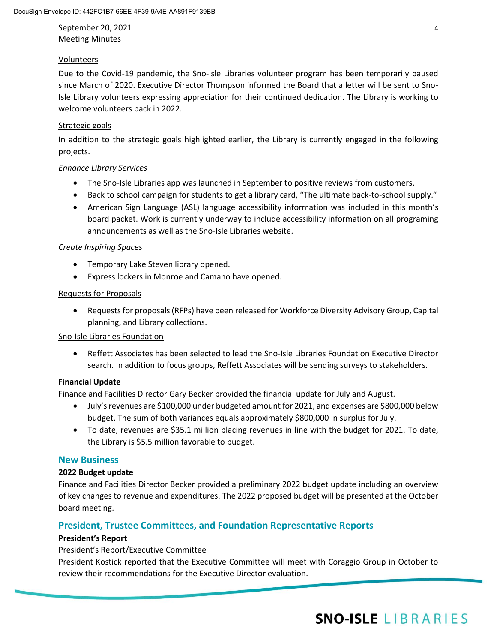September 20, 2021 4 Meeting Minutes

# Volunteers

Due to the Covid-19 pandemic, the Sno-isle Libraries volunteer program has been temporarily paused since March of 2020. Executive Director Thompson informed the Board that a letter will be sent to Sno-Isle Library volunteers expressing appreciation for their continued dedication. The Library is working to welcome volunteers back in 2022.

# Strategic goals

In addition to the strategic goals highlighted earlier, the Library is currently engaged in the following projects.

# *Enhance Library Services*

- The Sno-Isle Libraries app was launched in September to positive reviews from customers.
- Back to school campaign for students to get a library card, "The ultimate back-to-school supply."
- American Sign Language (ASL) language accessibility information was included in this month's board packet. Work is currently underway to include accessibility information on all programing announcements as well as the Sno-Isle Libraries website.

# *Create Inspiring Spaces*

- Temporary Lake Steven library opened.
- Express lockers in Monroe and Camano have opened.

# Requests for Proposals

• Requests for proposals (RFPs) have been released for Workforce Diversity Advisory Group, Capital planning, and Library collections.

# Sno-Isle Libraries Foundation

• Reffett Associates has been selected to lead the Sno-Isle Libraries Foundation Executive Director search. In addition to focus groups, Reffett Associates will be sending surveys to stakeholders.

# **Financial Update**

Finance and Facilities Director Gary Becker provided the financial update for July and August.

- July's revenues are \$100,000 under budgeted amount for 2021, and expenses are \$800,000 below budget. The sum of both variances equals approximately \$800,000 in surplus for July.
- To date, revenues are \$35.1 million placing revenues in line with the budget for 2021. To date, the Library is \$5.5 million favorable to budget.

# **New Business**

# **2022 Budget update**

Finance and Facilities Director Becker provided a preliminary 2022 budget update including an overview of key changes to revenue and expenditures. The 2022 proposed budget will be presented at the October board meeting.

# **President, Trustee Committees, and Foundation Representative Reports**

# **President's Report**

# President's Report/Executive Committee

President Kostick reported that the Executive Committee will meet with Coraggio Group in October to review their recommendations for the Executive Director evaluation.